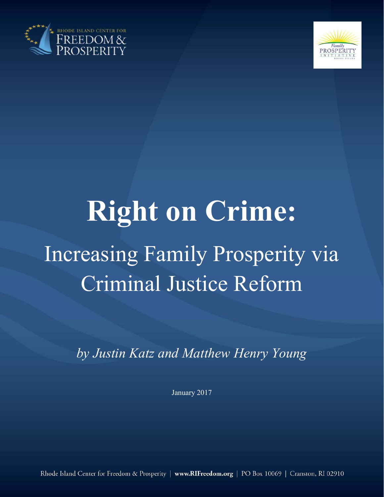



# **Right on Crime:**  Increasing Family Prosperity via Criminal Justice Reform

*by Justin Katz and Matthew Henry Young* 

January 2017

Rhode Island Center for Freedom & Prosperity | www.RIFreedom.org | PO Box 10069 | Cranston, RI 02910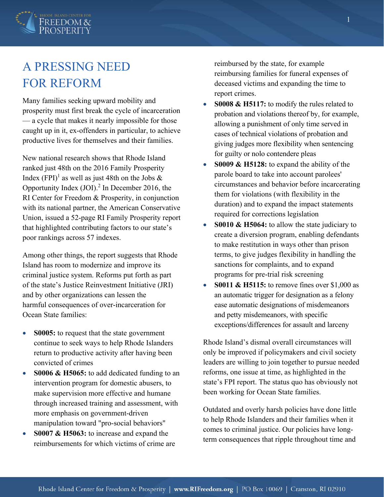

## A PRESSING NEED FOR REFORM

Many families seeking upward mobility and prosperity must first break the cycle of incarceration — a cycle that makes it nearly impossible for those caught up in it, ex-offenders in particular, to achieve productive lives for themselves and their families.

New national research shows that Rhode Island ranked just 48th on the 2016 Family Prosperity Index (FPI)<sup>1</sup> as well as just 48th on the Jobs  $\&$ Opportunity Index  $(JOI)<sup>2</sup>$  In December 2016, the RI Center for Freedom & Prosperity, in conjunction with its national partner, the American Conservative Union, issued a 52-page RI Family Prosperity report that highlighted contributing factors to our state's poor rankings across 57 indexes.

Among other things, the report suggests that Rhode Island has room to modernize and improve its criminal justice system. Reforms put forth as part of the state's Justice Reinvestment Initiative (JRI) and by other organizations can lessen the harmful consequences of over-incarceration for Ocean State families:

- **S0005:** to request that the state government continue to seek ways to help Rhode Islanders return to productive activity after having been convicted of crimes
- **S0006 & H5065:** to add dedicated funding to an intervention program for domestic abusers, to make supervision more effective and humane through increased training and assessment, with more emphasis on government-driven manipulation toward "pro-social behaviors"
- **S0007 & H5063:** to increase and expand the reimbursements for which victims of crime are

reimbursed by the state, for example reimbursing families for funeral expenses of deceased victims and expanding the time to report crimes.

- **S0008 & H5117:** to modify the rules related to probation and violations thereof by, for example, allowing a punishment of only time served in cases of technical violations of probation and giving judges more flexibility when sentencing for guilty or nolo contendere pleas
- **S0009 & H5128:** to expand the ability of the parole board to take into account parolees' circumstances and behavior before incarcerating them for violations (with flexibility in the duration) and to expand the impact statements required for corrections legislation
- **S0010 & H5064:** to allow the state judiciary to create a diversion program, enabling defendants to make restitution in ways other than prison terms, to give judges flexibility in handling the sanctions for complaints, and to expand programs for pre-trial risk screening
- **S0011 & H5115:** to remove fines over \$1,000 as an automatic trigger for designation as a felony ease automatic designations of misdemeanors and petty misdemeanors, with specific exceptions/differences for assault and larceny

Rhode Island's dismal overall circumstances will only be improved if policymakers and civil society leaders are willing to join together to pursue needed reforms, one issue at time, as highlighted in the state's FPI report. The status quo has obviously not been working for Ocean State families.

Outdated and overly harsh policies have done little to help Rhode Islanders and their families when it comes to criminal justice. Our policies have longterm consequences that ripple throughout time and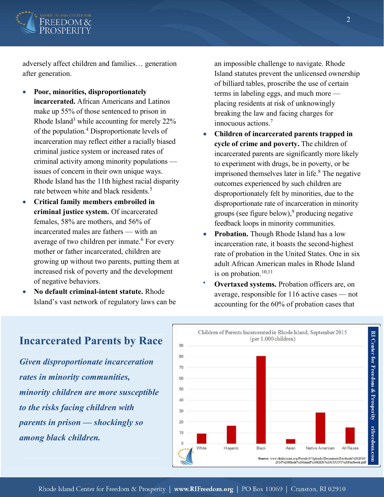

adversely affect children and families… generation after generation.

- x **Poor, minorities, disproportionately incarcerated.** African Americans and Latinos make up 55% of those sentenced to prison in Rhode Island<sup>3</sup> while accounting for merely 22% of the population.<sup>4</sup> Disproportionate levels of incarceration may reflect either a racially biased criminal justice system or increased rates of criminal activity among minority populations issues of concern in their own unique ways. Rhode Island has the 11th highest racial disparity rate between white and black residents.<sup>5</sup>
- x **Critical family members embroiled in criminal justice system.** Of incarcerated females, 58% are mothers, and 56% of incarcerated males are fathers — with an average of two children per inmate.<sup>6</sup> For every mother or father incarcerated, children are growing up without two parents, putting them at increased risk of poverty and the development of negative behaviors.
- x **No default criminal-intent statute.** Rhode Island's vast network of regulatory laws can be

an impossible challenge to navigate. Rhode Island statutes prevent the unlicensed ownership of billiard tables, proscribe the use of certain terms in labeling eggs, and much more placing residents at risk of unknowingly breaking the law and facing charges for innocuous actions.<sup>7</sup>

- x **Children of incarcerated parents trapped in cycle of crime and poverty.** The children of incarcerated parents are significantly more likely to experiment with drugs, be in poverty, or be imprisoned themselves later in life. $8$  The negative outcomes experienced by such children are disproportionately felt by minorities, due to the disproportionate rate of incarceration in minority groups (see figure below),<sup>9</sup> producing negative feedback loops in minority communities.
- **Probation.** Though Rhode Island has a low incarceration rate, it boasts the second-highest rate of probation in the United States. One in six adult African American males in Rhode Island is on probation.<sup>10,11</sup>
- **Overtaxed systems.** Probation officers are, on average, responsible for 116 active cases — not accounting for the 60% of probation cases that



#### **Incarcerated Parents by Race**

*Given disproportionate incarceration rates in minority communities, minority children are more susceptible to the risks facing children with parents in prison — shockingly so among black children.* 

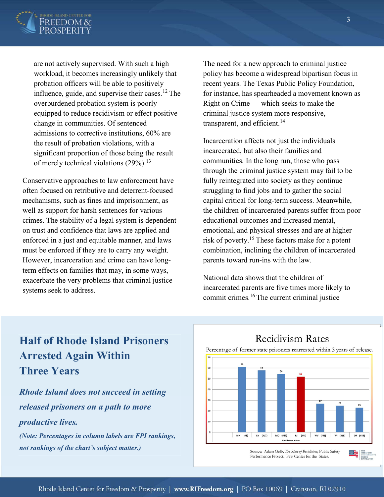

are not actively supervised. With such a high workload, it becomes increasingly unlikely that probation officers will be able to positively influence, guide, and supervise their cases.<sup>12</sup> The overburdened probation system is poorly equipped to reduce recidivism or effect positive change in communities. Of sentenced admissions to corrective institutions, 60% are the result of probation violations, with a significant proportion of those being the result of merely technical violations  $(29\%)$ <sup>13</sup>

Conservative approaches to law enforcement have often focused on retributive and deterrent-focused mechanisms, such as fines and imprisonment, as well as support for harsh sentences for various crimes. The stability of a legal system is dependent on trust and confidence that laws are applied and enforced in a just and equitable manner, and laws must be enforced if they are to carry any weight. However, incarceration and crime can have longterm effects on families that may, in some ways, exacerbate the very problems that criminal justice systems seek to address.

The need for a new approach to criminal justice policy has become a widespread bipartisan focus in recent years. The Texas Public Policy Foundation, for instance, has spearheaded a movement known as Right on Crime — which seeks to make the criminal justice system more responsive, transparent, and efficient.<sup>14</sup>

Incarceration affects not just the individuals incarcerated, but also their families and communities. In the long run, those who pass through the criminal justice system may fail to be fully reintegrated into society as they continue struggling to find jobs and to gather the social capital critical for long-term success. Meanwhile, the children of incarcerated parents suffer from poor educational outcomes and increased mental, emotional, and physical stresses and are at higher risk of poverty.<sup>15</sup> These factors make for a potent combination, inclining the children of incarcerated parents toward run-ins with the law.

National data shows that the children of incarcerated parents are five times more likely to commit crimes.16 The current criminal justice

#### **Half of Rhode Island Prisoners Arrested Again Within Three Years**

*Rhode Island does not succeed in setting released prisoners on a path to more productive lives.* 

*(Note: Percentages in column labels are FPI rankings, not rankings of the chart's subject matter.)*

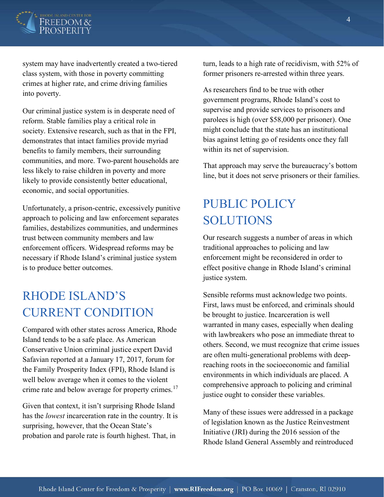

system may have inadvertently created a two-tiered class system, with those in poverty committing crimes at higher rate, and crime driving families into poverty.

Our criminal justice system is in desperate need of reform. Stable families play a critical role in society. Extensive research, such as that in the FPI, demonstrates that intact families provide myriad benefits to family members, their surrounding communities, and more. Two-parent households are less likely to raise children in poverty and more likely to provide consistently better educational, economic, and social opportunities.

Unfortunately, a prison-centric, excessively punitive approach to policing and law enforcement separates families, destabilizes communities, and undermines trust between community members and law enforcement officers. Widespread reforms may be necessary if Rhode Island's criminal justice system is to produce better outcomes.

## RHODE ISLAND'S CURRENT CONDITION

Compared with other states across America, Rhode Island tends to be a safe place. As American Conservative Union criminal justice expert David Safavian reported at a January 17, 2017, forum for the Family Prosperity Index (FPI), Rhode Island is well below average when it comes to the violent crime rate and below average for property crimes.<sup>17</sup>

Given that context, it isn't surprising Rhode Island has the *lowest* incarceration rate in the country. It is surprising, however, that the Ocean State's probation and parole rate is fourth highest. That, in

turn, leads to a high rate of recidivism, with 52% of former prisoners re-arrested within three years.

As researchers find to be true with other government programs, Rhode Island's cost to supervise and provide services to prisoners and parolees is high (over \$58,000 per prisoner). One might conclude that the state has an institutional bias against letting go of residents once they fall within its net of supervision.

That approach may serve the bureaucracy's bottom line, but it does not serve prisoners or their families.

## PUBLIC POLICY SOLUTIONS

Our research suggests a number of areas in which traditional approaches to policing and law enforcement might be reconsidered in order to effect positive change in Rhode Island's criminal justice system.

Sensible reforms must acknowledge two points. First, laws must be enforced, and criminals should be brought to justice. Incarceration is well warranted in many cases, especially when dealing with lawbreakers who pose an immediate threat to others. Second, we must recognize that crime issues are often multi-generational problems with deepreaching roots in the socioeconomic and familial environments in which individuals are placed. A comprehensive approach to policing and criminal justice ought to consider these variables.

Many of these issues were addressed in a package of legislation known as the Justice Reinvestment Initiative (JRI) during the 2016 session of the Rhode Island General Assembly and reintroduced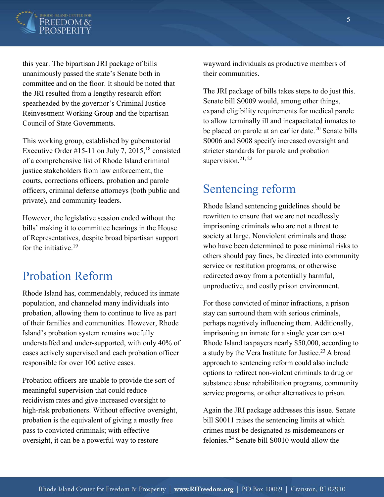

this year. The bipartisan JRI package of bills unanimously passed the state's Senate both in committee and on the floor. It should be noted that the JRI resulted from a lengthy research effort spearheaded by the governor's Criminal Justice Reinvestment Working Group and the bipartisan Council of State Governments.

This working group, established by gubernatorial Executive Order #15-11 on July 7, 2015,<sup>18</sup> consisted of a comprehensive list of Rhode Island criminal justice stakeholders from law enforcement, the courts, corrections officers, probation and parole officers, criminal defense attorneys (both public and private), and community leaders.

However, the legislative session ended without the bills' making it to committee hearings in the House of Representatives, despite broad bipartisan support for the initiative.<sup>19</sup>

#### Probation Reform

Rhode Island has, commendably, reduced its inmate population, and channeled many individuals into probation, allowing them to continue to live as part of their families and communities. However, Rhode Island's probation system remains woefully understaffed and under-supported, with only 40% of cases actively supervised and each probation officer responsible for over 100 active cases.

Probation officers are unable to provide the sort of meaningful supervision that could reduce recidivism rates and give increased oversight to high-risk probationers. Without effective oversight, probation is the equivalent of giving a mostly free pass to convicted criminals; with effective oversight, it can be a powerful way to restore

wayward individuals as productive members of their communities.

The JRI package of bills takes steps to do just this. Senate bill S0009 would, among other things, expand eligibility requirements for medical parole to allow terminally ill and incapacitated inmates to be placed on parole at an earlier date.<sup>20</sup> Senate bills S0006 and S008 specify increased oversight and stricter standards for parole and probation supervision. $21, 22$ 

#### Sentencing reform

Rhode Island sentencing guidelines should be rewritten to ensure that we are not needlessly imprisoning criminals who are not a threat to society at large. Nonviolent criminals and those who have been determined to pose minimal risks to others should pay fines, be directed into community service or restitution programs, or otherwise redirected away from a potentially harmful, unproductive, and costly prison environment.

For those convicted of minor infractions, a prison stay can surround them with serious criminals, perhaps negatively influencing them. Additionally, imprisoning an inmate for a single year can cost Rhode Island taxpayers nearly \$50,000, according to a study by the Vera Institute for Justice.<sup>23</sup> A broad approach to sentencing reform could also include options to redirect non-violent criminals to drug or substance abuse rehabilitation programs, community service programs, or other alternatives to prison.

Again the JRI package addresses this issue. Senate bill S0011 raises the sentencing limits at which crimes must be designated as misdemeanors or felonies.24 Senate bill S0010 would allow the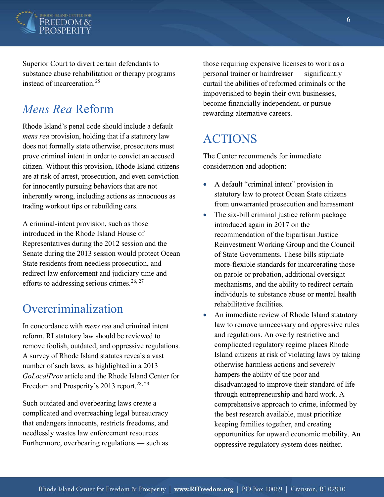

Superior Court to divert certain defendants to substance abuse rehabilitation or therapy programs instead of incarceration.<sup>25</sup>

#### *Mens Rea* Reform

Rhode Island's penal code should include a default *mens rea* provision, holding that if a statutory law does not formally state otherwise, prosecutors must prove criminal intent in order to convict an accused citizen. Without this provision, Rhode Island citizens are at risk of arrest, prosecution, and even conviction for innocently pursuing behaviors that are not inherently wrong, including actions as innocuous as trading workout tips or rebuilding cars.

A criminal-intent provision, such as those introduced in the Rhode Island House of Representatives during the 2012 session and the Senate during the 2013 session would protect Ocean State residents from needless prosecution, and redirect law enforcement and judiciary time and efforts to addressing serious crimes.<sup>26, 27</sup>

#### Overcriminalization

In concordance with *mens rea* and criminal intent reform, RI statutory law should be reviewed to remove foolish, outdated, and oppressive regulations. A survey of Rhode Island statutes reveals a vast number of such laws, as highlighted in a 2013 *GoLocalProv* article and the Rhode Island Center for Freedom and Prosperity's 2013 report.<sup>28, 29</sup>

Such outdated and overbearing laws create a complicated and overreaching legal bureaucracy that endangers innocents, restricts freedoms, and needlessly wastes law enforcement resources. Furthermore, overbearing regulations — such as

those requiring expensive licenses to work as a personal trainer or hairdresser — significantly curtail the abilities of reformed criminals or the impoverished to begin their own businesses, become financially independent, or pursue rewarding alternative careers.

### ACTIONS

The Center recommends for immediate consideration and adoption:

- A default "criminal intent" provision in statutory law to protect Ocean State citizens from unwarranted prosecution and harassment
- $\bullet$  The six-bill criminal justice reform package introduced again in 2017 on the recommendation of the bipartisan Justice Reinvestment Working Group and the Council of State Governments. These bills stipulate more-flexible standards for incarcerating those on parole or probation, additional oversight mechanisms, and the ability to redirect certain individuals to substance abuse or mental health rehabilitative facilities.
- An immediate review of Rhode Island statutory law to remove unnecessary and oppressive rules and regulations. An overly restrictive and complicated regulatory regime places Rhode Island citizens at risk of violating laws by taking otherwise harmless actions and severely hampers the ability of the poor and disadvantaged to improve their standard of life through entrepreneurship and hard work. A comprehensive approach to crime, informed by the best research available, must prioritize keeping families together, and creating opportunities for upward economic mobility. An oppressive regulatory system does neither.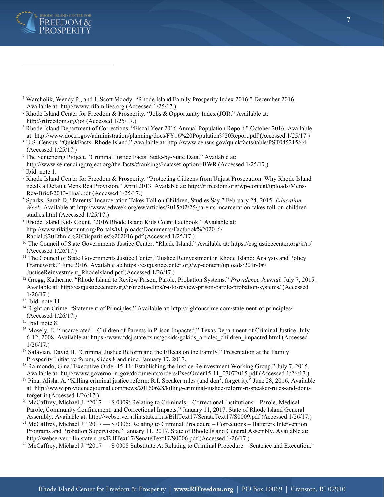

- <sup>1</sup> Warcholik, Wendy P., and J. Scott Moody. "Rhode Island Family Prosperity Index 2016." December 2016. Available at: http://www.rifamilies.org (Accessed 1/25/17.)
- <sup>2</sup> Rhode Island Center for Freedom & Prosperity. "Jobs & Opportunity Index (JOI)." Available at: http://rifreedom.org/joi (Accessed 1/25/17.)
- <sup>3</sup> Rhode Island Department of Corrections. "Fiscal Year 2016 Annual Population Report." October 2016. Available
- at: http://www.doc.ri.gov/administration/planning/docs/FY16%20Population%20Report.pdf (Accessed 1/25/17.) 4 U.S. Census. "QuickFacts: Rhode Island." Available at: http://www.census.gov/quickfacts/table/PST045215/44 (Accessed 1/25/17.)
- <sup>5</sup> The Sentencing Project. "Criminal Justice Facts: State-by-State Data." Available at:
- http://www.sentencingproject.org/the-facts/#rankings?dataset-option=BWR (Accessed 1/25/17.) 6 Ibid. note 1.
- <sup>7</sup> Rhode Island Center for Freedom & Prosperity. "Protecting Citizens from Unjust Prosecution: Why Rhode Island needs a Default Mens Rea Provision." April 2013. Available at: http://rifreedom.org/wp-content/uploads/Mens-Rea-Brief-2013-Final.pdf (Accessed 1/25/17.)
- 8 Sparks, Sarah D. "Parents' Incarceration Takes Toll on Children, Studies Say." February 24, 2015. *Education Week.* Available at: http://www.edweek.org/ew/articles/2015/02/25/parents-incarceration-takes-toll-on-childrenstudies.html (Accessed 1/25/17.)
- 9 Rhode Island Kids Count. "2016 Rhode Island Kids Count Factbook." Available at: http://www.rikidscount.org/Portals/0/Uploads/Documents/Factbook%202016/ Racial%20Ethnic%20Disparities%202016.pdf (Accessed 1/25/17.)
- <sup>10</sup> The Council of State Governments Justice Center. "Rhode Island." Available at: https://csgjusticecenter.org/jr/ri/ (Accessed 1/26/17.)
- <sup>11</sup> The Council of State Governments Justice Center. "Justice Reinvestment in Rhode Island: Analysis and Policy Framework." June 2016. Available at: https://csgjusticecenter.org/wp-content/uploads/2016/06/ JusticeReinvestment\_RhodeIsland.pdf (Accessed 1/26/17.)
- 12 Gregg, Katherine. "Rhode Island to Review Prison, Parole, Probation Systems." *Providence Journal.* July 7, 2015. Available at: http://csgjusticecenter.org/jr/media-clips/r-i-to-review-prison-parole-probation-systems/ (Accessed 1/26/17.)
- $13$  Ibid. note 11.
- <sup>14</sup> Right on Crime. "Statement of Principles." Available at: http://rightoncrime.com/statement-of-principles/
- (Accessed 1/26/17.)
- <sup>15</sup> Ibid. note 8.
- <sup>16</sup> Mosely, E. "Incarcerated Children of Parents in Prison Impacted." Texas Department of Criminal Justice. July 6-12, 2008. Available at: https://www.tdcj.state.tx.us/gokids/gokids\_articles\_children\_impacted.html (Accessed 1/26/17.)
- <sup>17</sup> Safavian, David H. "Criminal Justice Reform and the Effects on the Family." Presentation at the Family Prosperity Initiative forum, slides 8 and nine. January 17, 2017.
- <sup>18</sup> Raimondo, Gina."Executive Order 15-11: Establishing the Justice Reinvestment Working Group." July 7, 2015. Available at: http://www.governor.ri.gov/documents/orders/ExecOrder15-11\_07072015.pdf (Accessed 1/26/17.)
- <sup>19</sup> Pina, Alisha A. "Killing criminal justice reform: R.I. Speaker rules (and don't forget it)." June 28, 2016. Available at: http://www.providencejournal.com/news/20160628/killing-criminal-justice-reform-ri-speaker-rules-and-dontforget-it (Accessed 1/26/17.)
- <sup>20</sup> McCaffrey, Michael J. "2017 S 0009: Relating to Criminals Correctional Institutions Parole, Medical Parole, Community Confinement, and Correctional Impacts." January 11, 2017. State of Rhode Island General
- Assembly. Available at: http://webserver.rilin.state.ri.us/BillText17/SenateText17/S0009.pdf (Accessed 1/26/17.) 21 McCaffrey, Michael J. "2017 S 0006: Relating to Criminal Procedure Corrections Batterers Intervention Programs and Probation Supervision." January 11, 2017. State of Rhode Island General Assembly. Available at:<br>http://webserver.rilin.state.ri.us/BillText17/SenateText17/S0006.pdf (Accessed 1/26/17.)
- <sup>22</sup> McCaffrey, Michael J. "2017 S 0008 Substitute A: Relating to Criminal Procedure Sentence and Execution."